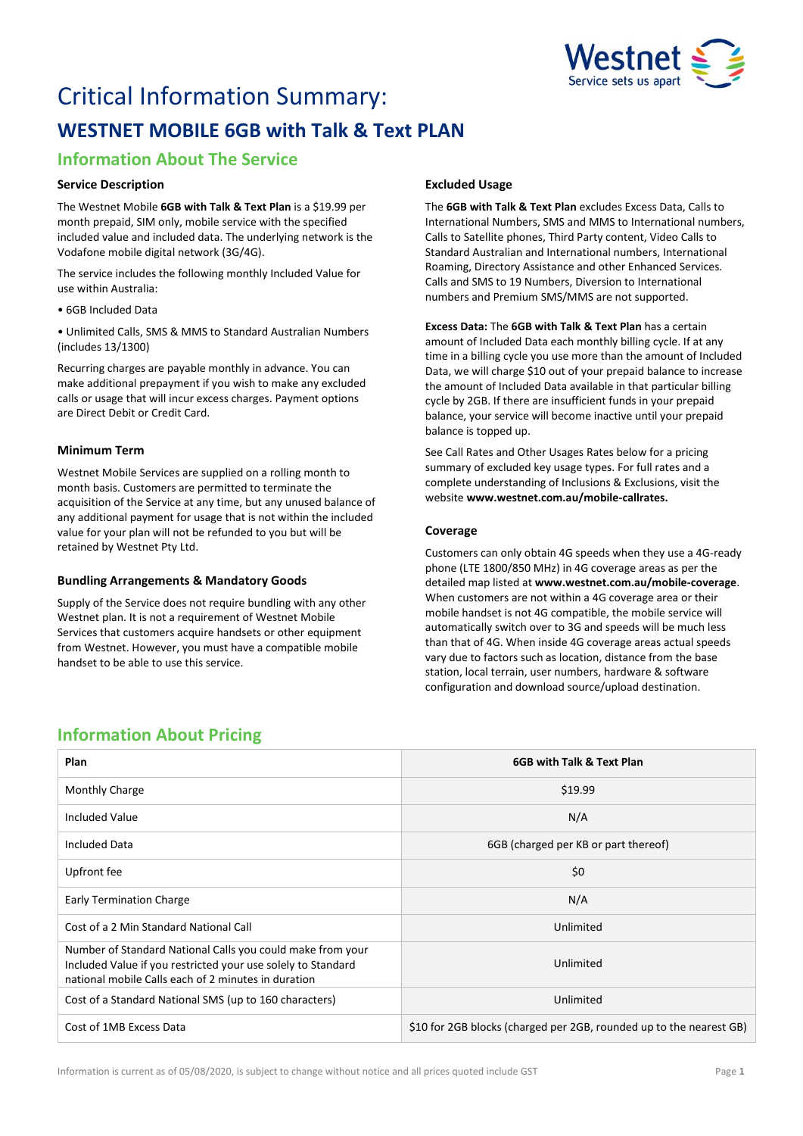

# Critical Information Summary: **WESTNET MOBILE 6GB with Talk & Text PLAN**

# **Information About The Service**

## **Service Description**

The Westnet Mobile **6GB with Talk & Text Plan** is a \$19.99 per month prepaid, SIM only, mobile service with the specified included value and included data. The underlying network is the Vodafone mobile digital network (3G/4G).

The service includes the following monthly Included Value for use within Australia:

• 6GB Included Data

• Unlimited Calls, SMS & MMS to Standard Australian Numbers (includes 13/1300)

Recurring charges are payable monthly in advance. You can make additional prepayment if you wish to make any excluded calls or usage that will incur excess charges. Payment options are Direct Debit or Credit Card.

# **Minimum Term**

Westnet Mobile Services are supplied on a rolling month to month basis. Customers are permitted to terminate the acquisition of the Service at any time, but any unused balance of any additional payment for usage that is not within the included value for your plan will not be refunded to you but will be retained by Westnet Pty Ltd.

### **Bundling Arrangements & Mandatory Goods**

Supply of the Service does not require bundling with any other Westnet plan. It is not a requirement of Westnet Mobile Services that customers acquire handsets or other equipment from Westnet. However, you must have a compatible mobile handset to be able to use this service.

# **Excluded Usage**

The **6GB with Talk & Text Plan** excludes Excess Data, Calls to International Numbers, SMS and MMS to International numbers, Calls to Satellite phones, Third Party content, Video Calls to Standard Australian and International numbers, International Roaming, Directory Assistance and other Enhanced Services. Calls and SMS to 19 Numbers, Diversion to International numbers and Premium SMS/MMS are not supported.

**Excess Data:** The **6GB with Talk & Text Plan** has a certain amount of Included Data each monthly billing cycle. If at any time in a billing cycle you use more than the amount of Included Data, we will charge \$10 out of your prepaid balance to increase the amount of Included Data available in that particular billing cycle by 2GB. If there are insufficient funds in your prepaid balance, your service will become inactive until your prepaid balance is topped up.

See Call Rates and Other Usages Rates below for a pricing summary of excluded key usage types. For full rates and a complete understanding of Inclusions & Exclusions, visit the website **[www.westnet.com.au/mobile-callrates.](http://www.westnet.com.au/mobile-callrates)**

# **Coverage**

Customers can only obtain 4G speeds when they use a 4G-ready phone (LTE 1800/850 MHz) in 4G coverage areas as per the detailed map listed at **[www.westnet.com.au/mobile-coverage](https://www.westnet.com.au/mobile-coverage)**. When customers are not within a 4G coverage area or their mobile handset is not 4G compatible, the mobile service will automatically switch over to 3G and speeds will be much less than that of 4G. When inside 4G coverage areas actual speeds vary due to factors such as location, distance from the base station, local terrain, user numbers, hardware & software configuration and download source/upload destination.

# **Information About Pricing**

| Plan                                                                                                                                                                              | 6GB with Talk & Text Plan                                           |
|-----------------------------------------------------------------------------------------------------------------------------------------------------------------------------------|---------------------------------------------------------------------|
|                                                                                                                                                                                   |                                                                     |
| Monthly Charge                                                                                                                                                                    | \$19.99                                                             |
| <b>Included Value</b>                                                                                                                                                             | N/A                                                                 |
| <b>Included Data</b>                                                                                                                                                              | 6GB (charged per KB or part thereof)                                |
| Upfront fee                                                                                                                                                                       | \$0                                                                 |
| <b>Early Termination Charge</b>                                                                                                                                                   | N/A                                                                 |
| Cost of a 2 Min Standard National Call                                                                                                                                            | Unlimited                                                           |
| Number of Standard National Calls you could make from your<br>Included Value if you restricted your use solely to Standard<br>national mobile Calls each of 2 minutes in duration | Unlimited                                                           |
| Cost of a Standard National SMS (up to 160 characters)                                                                                                                            | Unlimited                                                           |
| Cost of 1MB Excess Data                                                                                                                                                           | \$10 for 2GB blocks (charged per 2GB, rounded up to the nearest GB) |